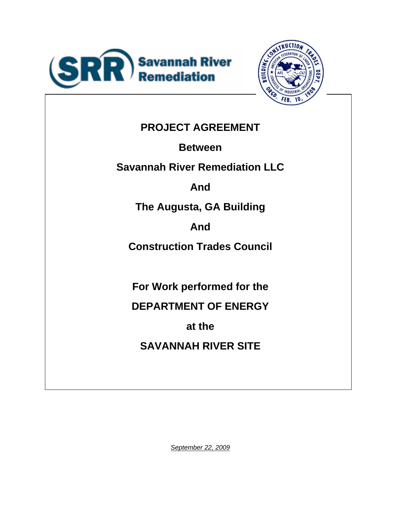



# **PROJECT AGREEMENT**

**Between** 

**Savannah River Remediation LLC** 

**And** 

**The Augusta, GA Building** 

**And** 

**Construction Trades Council** 

**For Work performed for the** 

**DEPARTMENT OF ENERGY** 

**at the** 

**SAVANNAH RIVER SITE** 

*September 22, 2009*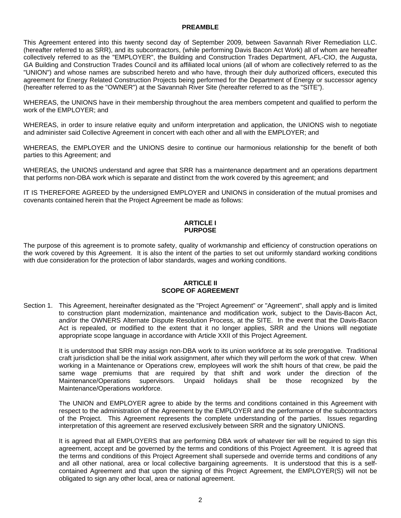# **PREAMBLE**

This Agreement entered into this twenty second day of September 2009*,* between Savannah River Remediation LLC. (hereafter referred to as SRR), and its subcontractors, (while performing Davis Bacon Act Work) all of whom are hereafter collectively referred to as the "EMPLOYER", the Building and Construction Trades Department, AFL-CIO, the Augusta, GA Building and Construction Trades Council and its affiliated local unions (all of whom are collectively referred to as the "UNION") and whose names are subscribed hereto and who have, through their duly authorized officers, executed this agreement for Energy Related Construction Projects being performed for the Department of Energy or successor agency (hereafter referred to as the "OWNER") at the Savannah River Site (hereafter referred to as the "SITE").

WHEREAS, the UNIONS have in their membership throughout the area members competent and qualified to perform the work of the EMPLOYER; and

WHEREAS, in order to insure relative equity and uniform interpretation and application, the UNIONS wish to negotiate and administer said Collective Agreement in concert with each other and all with the EMPLOYER; and

WHEREAS, the EMPLOYER and the UNIONS desire to continue our harmonious relationship for the benefit of both parties to this Agreement; and

WHEREAS, the UNIONS understand and agree that SRR has a maintenance department and an operations department that performs non-DBA work which is separate and distinct from the work covered by this agreement; and

IT IS THEREFORE AGREED by the undersigned EMPLOYER and UNIONS in consideration of the mutual promises and covenants contained herein that the Project Agreement be made as follows:

# **ARTICLE I PURPOSE**

The purpose of this agreement is to promote safety, quality of workmanship and efficiency of construction operations on the work covered by this Agreement. It is also the intent of the parties to set out uniformly standard working conditions with due consideration for the protection of labor standards, wages and working conditions.

# **ARTICLE II SCOPE OF AGREEMENT**

Section 1. This Agreement, hereinafter designated as the "Project Agreement" or "Agreement", shall apply and is limited to construction plant modernization, maintenance and modification work, subject to the Davis-Bacon Act, and/or the OWNERS Alternate Dispute Resolution Process, at the SITE. In the event that the Davis-Bacon Act is repealed, or modified to the extent that it no longer applies, SRR and the Unions will negotiate appropriate scope language in accordance with Article XXII of this Project Agreement.

 It is understood that SRR may assign non-DBA work to its union workforce at its sole prerogative. Traditional craft jurisdiction shall be the initial work assignment, after which they will perform the work of that crew. When working in a Maintenance or Operations crew, employees will work the shift hours of that crew, be paid the same wage premiums that are required by that shift and work under the direction of the Maintenance/Operations supervisors. Unpaid holidays shall be those recognized by the Maintenance/Operations workforce.

The UNION and EMPLOYER agree to abide by the terms and conditions contained in this Agreement with respect to the administration of the Agreement by the EMPLOYER and the performance of the subcontractors of the Project. This Agreement represents the complete understanding of the parties. Issues regarding interpretation of this agreement are reserved exclusively between SRR and the signatory UNIONS.

It is agreed that all EMPLOYERS that are performing DBA work of whatever tier will be required to sign this agreement, accept and be governed by the terms and conditions of this Project Agreement. It is agreed that the terms and conditions of this Project Agreement shall supersede and override terms and conditions of any and all other national, area or local collective bargaining agreements. It is understood that this is a selfcontained Agreement and that upon the signing of this Project Agreement, the EMPLOYER(S) will not be obligated to sign any other local, area or national agreement.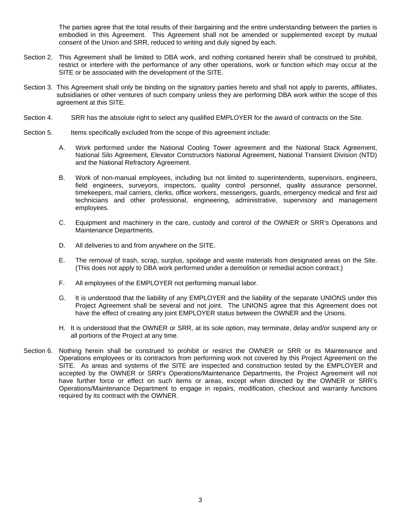The parties agree that the total results of their bargaining and the entire understanding between the parties is embodied in this Agreement. This Agreement shall not be amended or supplemented except by mutual consent of the Union and SRR, reduced to writing and duly signed by each.

- Section 2. This Agreement shall be limited to DBA work, and nothing contained herein shall be construed to prohibit, restrict or interfere with the performance of any other operations, work or function which may occur at the SITE or be associated with the development of the SITE.
- Section 3. This Agreement shall only be binding on the signatory parties hereto and shall not apply to parents, affiliates, subsidiaries or other ventures of such company unless they are performing DBA work within the scope of this agreement at this SITE.
- Section 4. SRR has the absolute right to select any qualified EMPLOYER for the award of contracts on the Site.
- Section 5. Items specifically excluded from the scope of this agreement include:
	- A. Work performed under the National Cooling Tower agreement and the National Stack Agreement, National Silo Agreement, Elevator Constructors National Agreement, National Transient Division (NTD) and the National Refractory Agreement.
	- B. Work of non-manual employees, including but not limited to superintendents, supervisors, engineers, field engineers, surveyors, inspectors, quality control personnel, quality assurance personnel, timekeepers, mail carriers, clerks, office workers, messengers, guards, emergency medical and first aid technicians and other professional, engineering, administrative, supervisory and management employees.
	- C. Equipment and machinery in the care, custody and control of the OWNER or SRR's Operations and Maintenance Departments.
	- D. All deliveries to and from anywhere on the SITE.
	- E. The removal of trash, scrap, surplus, spoilage and waste materials from designated areas on the Site. (This does not apply to DBA work performed under a demolition or remedial action contract.)
	- F. All employees of the EMPLOYER not performing manual labor.
	- G. It is understood that the liability of any EMPLOYER and the liability of the separate UNIONS under this Project Agreement shall be several and not joint. The UNIONS agree that this Agreement does not have the effect of creating any joint EMPLOYER status between the OWNER and the Unions.
	- H. It is understood that the OWNER or SRR, at its sole option, may terminate, delay and/or suspend any or all portions of the Project at any time.
- Section 6. Nothing herein shall be construed to prohibit or restrict the OWNER or SRR or its Maintenance and Operations employees or its contractors from performing work not covered by this Project Agreement on the SITE. As areas and systems of the SITE are inspected and construction tested by the EMPLOYER and accepted by the OWNER or SRR's Operations/Maintenance Departments, the Project Agreement will not have further force or effect on such items or areas, except when directed by the OWNER or SRR's Operations/Maintenance Department to engage in repairs, modification, checkout and warranty functions required by its contract with the OWNER.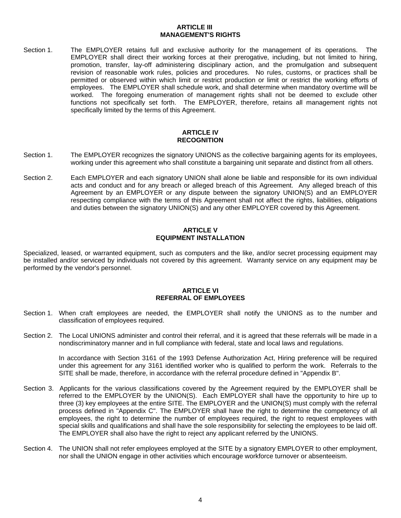# **ARTICLE III MANAGEMENT'S RIGHTS**

Section 1. The EMPLOYER retains full and exclusive authority for the management of its operations. The EMPLOYER shall direct their working forces at their prerogative, including, but not limited to hiring, promotion, transfer, lay-off administering disciplinary action, and the promulgation and subsequent revision of reasonable work rules, policies and procedures. No rules, customs, or practices shall be permitted or observed within which limit or restrict production or limit or restrict the working efforts of employees. The EMPLOYER shall schedule work, and shall determine when mandatory overtime will be worked. The foregoing enumeration of management rights shall not be deemed to exclude other functions not specifically set forth. The EMPLOYER, therefore, retains all management rights not specifically limited by the terms of this Agreement.

# **ARTICLE IV RECOGNITION**

- Section 1. The EMPLOYER recognizes the signatory UNIONS as the collective bargaining agents for its employees, working under this agreement who shall constitute a bargaining unit separate and distinct from all others.
- Section 2. Each EMPLOYER and each signatory UNION shall alone be liable and responsible for its own individual acts and conduct and for any breach or alleged breach of this Agreement. Any alleged breach of this Agreement by an EMPLOYER or any dispute between the signatory UNION(S) and an EMPLOYER respecting compliance with the terms of this Agreement shall not affect the rights, liabilities, obligations and duties between the signatory UNION(S) and any other EMPLOYER covered by this Agreement.

# **ARTICLE V EQUIPMENT INSTALLATION**

Specialized, leased, or warranted equipment, such as computers and the like, and/or secret processing equipment may be installed and/or serviced by individuals not covered by this agreement. Warranty service on any equipment may be performed by the vendor's personnel.

# **ARTICLE VI REFERRAL OF EMPLOYEES**

- Section 1. When craft employees are needed, the EMPLOYER shall notify the UNIONS as to the number and classification of employees required.
- Section 2. The Local UNIONS administer and control their referral, and it is agreed that these referrals will be made in a nondiscriminatory manner and in full compliance with federal, state and local laws and regulations.

In accordance with Section 3161 of the 1993 Defense Authorization Act, Hiring preference will be required under this agreement for any 3161 identified worker who is qualified to perform the work. Referrals to the SITE shall be made, therefore, in accordance with the referral procedure defined in "Appendix B".

- Section 3. Applicants for the various classifications covered by the Agreement required by the EMPLOYER shall be referred to the EMPLOYER by the UNION(S). Each EMPLOYER shall have the opportunity to hire up to three (3) key employees at the entire SITE. The EMPLOYER and the UNION(S) must comply with the referral process defined in "Appendix C". The EMPLOYER shall have the right to determine the competency of all employees, the right to determine the number of employees required, the right to request employees with special skills and qualifications and shall have the sole responsibility for selecting the employees to be laid off. The EMPLOYER shall also have the right to reject any applicant referred by the UNIONS.
- Section 4. The UNION shall not refer employees employed at the SITE by a signatory EMPLOYER to other employment, nor shall the UNION engage in other activities which encourage workforce turnover or absenteeism.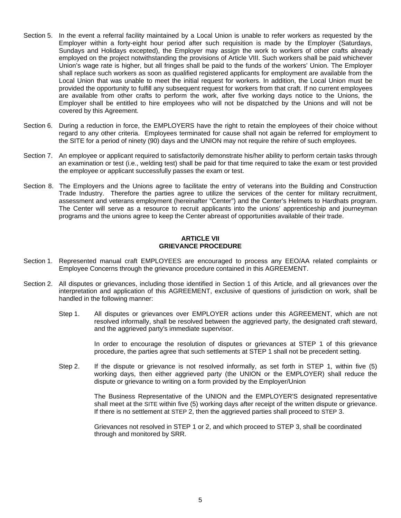- Section 5. In the event a referral facility maintained by a Local Union is unable to refer workers as requested by the Employer within a forty-eight hour period after such requisition is made by the Employer (Saturdays, Sundays and Holidays excepted), the Employer may assign the work to workers of other crafts already employed on the project notwithstanding the provisions of Article VIII. Such workers shall be paid whichever Union's wage rate is higher, but all fringes shall be paid to the funds of the workers' Union. The Employer shall replace such workers as soon as qualified registered applicants for employment are available from the Local Union that was unable to meet the initial request for workers. In addition, the Local Union must be provided the opportunity to fulfill any subsequent request for workers from that craft. If no current employees are available from other crafts to perform the work, after five working days notice to the Unions, the Employer shall be entitled to hire employees who will not be dispatched by the Unions and will not be covered by this Agreement.
- Section 6. During a reduction in force, the EMPLOYERS have the right to retain the employees of their choice without regard to any other criteria. Employees terminated for cause shall not again be referred for employment to the SITE for a period of ninety (90) days and the UNION may not require the rehire of such employees.
- Section 7. An employee or applicant required to satisfactorily demonstrate his/her ability to perform certain tasks through an examination or test (i.e., welding test) shall be paid for that time required to take the exam or test provided the employee or applicant successfully passes the exam or test.
- Section 8. The Employers and the Unions agree to facilitate the entry of veterans into the Building and Construction Trade Industry. Therefore the parties agree to utilize the services of the center for military recruitment, assessment and veterans employment (hereinafter "Center") and the Center's Helmets to Hardhats program. The Center will serve as a resource to recruit applicants into the unions' apprenticeship and journeyman programs and the unions agree to keep the Center abreast of opportunities available of their trade.

# **ARTICLE VII GRIEVANCE PROCEDURE**

- Section 1. Represented manual craft EMPLOYEES are encouraged to process any EEO/AA related complaints or Employee Concerns through the grievance procedure contained in this AGREEMENT.
- Section 2. All disputes or grievances, including those identified in Section 1 of this Article, and all grievances over the interpretation and application of this AGREEMENT, exclusive of questions of jurisdiction on work, shall be handled in the following manner:
	- Step 1. All disputes or grievances over EMPLOYER actions under this AGREEMENT, which are not resolved informally, shall be resolved between the aggrieved party, the designated craft steward, and the aggrieved party's immediate supervisor.

In order to encourage the resolution of disputes or grievances at STEP 1 of this grievance procedure, the parties agree that such settlements at STEP 1 shall not be precedent setting.

Step 2. If the dispute or grievance is not resolved informally, as set forth in STEP 1, within five (5) working days, then either aggrieved party (the UNION or the EMPLOYER) shall reduce the dispute or grievance to writing on a form provided by the Employer/Union

> The Business Representative of the UNION and the EMPLOYER'S designated representative shall meet at the SITE within five (5) working days after receipt of the written dispute or grievance. If there is no settlement at STEP 2, then the aggrieved parties shall proceed to STEP 3.

Grievances not resolved in STEP 1 or 2, and which proceed to STEP 3, shall be coordinated through and monitored by SRR.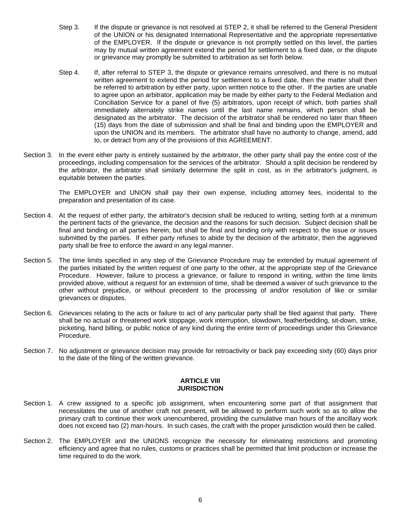- Step 3. If the dispute or grievance is not resolved at STEP 2, it shall be referred to the General President of the UNION or his designated International Representative and the appropriate representative of the EMPLOYER. If the dispute or grievance is not promptly settled on this level, the parties may by mutual written agreement extend the period for settlement to a fixed date, or the dispute or grievance may promptly be submitted to arbitration as set forth below.
- Step 4. If, after referral to STEP 3, the dispute or grievance remains unresolved, and there is no mutual written agreement to extend the period for settlement to a fixed date, then the matter shall then be referred to arbitration by either party, upon written notice to the other. If the parties are unable to agree upon an arbitrator, application may be made by either party to the Federal Mediation and Conciliation Service for a panel of five (5) arbitrators, upon receipt of which, both parties shall immediately alternately strike names until the last name remains, which person shall be designated as the arbitrator. The decision of the arbitrator shall be rendered no later than fifteen (15) days from the date of submission and shall be final and binding upon the EMPLOYER and upon the UNION and its members. The arbitrator shall have no authority to change, amend, add to, or detract from any of the provisions of this AGREEMENT.
- Section 3. In the event either party is entirely sustained by the arbitrator, the other party shall pay the entire cost of the proceedings, including compensation for the services of the arbitrator. Should a split decision be rendered by the arbitrator, the arbitrator shall similarly determine the split in cost, as in the arbitrator's judgment, is equitable between the parties.

The EMPLOYER and UNION shall pay their own expense, including attorney fees, incidental to the preparation and presentation of its case.

- Section 4. At the request of either party, the arbitrator's decision shall be reduced to writing, setting forth at a minimum the pertinent facts of the grievance, the decision and the reasons for such decision. Subject decision shall be final and binding on all parties herein, but shall be final and binding only with respect to the issue or issues submitted by the parties. If either party refuses to abide by the decision of the arbitrator, then the aggrieved party shall be free to enforce the award in any legal manner.
- Section 5. The time limits specified in any step of the Grievance Procedure may be extended by mutual agreement of the parties initiated by the written request of one party to the other, at the appropriate step of the Grievance Procedure. However, failure to process a grievance, or failure to respond in writing, within the time limits provided above, without a request for an extension of time, shall be deemed a waiver of such grievance to the other without prejudice, or without precedent to the processing of and/or resolution of like or similar grievances or disputes.
- Section 6. Grievances relating to the acts or failure to act of any particular party shall be filed against that party. There shall be no actual or threatened work stoppage, work interruption, slowdown, featherbedding, sit-down, strike, picketing, hand billing, or public notice of any kind during the entire term of proceedings under this Grievance Procedure.
- Section 7. No adjustment or grievance decision may provide for retroactivity or back pay exceeding sixty (60) days prior to the date of the filing of the written grievance.

# **ARTICLE VIII JURISDICTION**

- Section 1. A crew assigned to a specific job assignment, when encountering some part of that assignment that necessitates the use of another craft not present, will be allowed to perform such work so as to allow the primary craft to continue their work unencumbered, providing the cumulative man hours of the ancillary work does not exceed two (2) man-hours. In such cases, the craft with the proper jurisdiction would then be called.
- Section 2. The EMPLOYER and the UNIONS recognize the necessity for eliminating restrictions and promoting efficiency and agree that no rules, customs or practices shall be permitted that limit production or increase the time required to do the work.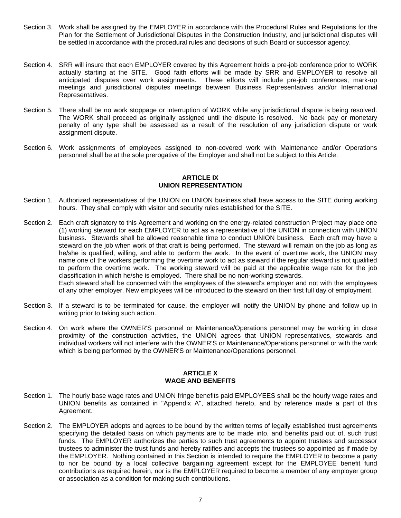- Section 3. Work shall be assigned by the EMPLOYER in accordance with the Procedural Rules and Regulations for the Plan for the Settlement of Jurisdictional Disputes in the Construction Industry, and jurisdictional disputes will be settled in accordance with the procedural rules and decisions of such Board or successor agency.
- Section 4. SRR will insure that each EMPLOYER covered by this Agreement holds a pre-job conference prior to WORK actually starting at the SITE. Good faith efforts will be made by SRR and EMPLOYER to resolve all anticipated disputes over work assignments. These efforts will include pre-job conferences, mark-up meetings and jurisdictional disputes meetings between Business Representatives and/or International Representatives.
- Section 5. There shall be no work stoppage or interruption of WORK while any jurisdictional dispute is being resolved. The WORK shall proceed as originally assigned until the dispute is resolved. No back pay or monetary penalty of any type shall be assessed as a result of the resolution of any jurisdiction dispute or work assignment dispute.
- Section 6. Work assignments of employees assigned to non-covered work with Maintenance and/or Operations personnel shall be at the sole prerogative of the Employer and shall not be subject to this Article.

#### **ARTICLE IX UNION REPRESENTATION**

- Section 1. Authorized representatives of the UNION on UNION business shall have access to the SITE during working hours. They shall comply with visitor and security rules established for the SITE.
- Section 2. Each craft signatory to this Agreement and working on the energy-related construction Project may place one (1) working steward for each EMPLOYER to act as a representative of the UNION in connection with UNION business. Stewards shall be allowed reasonable time to conduct UNION business. Each craft may have a steward on the job when work of that craft is being performed. The steward will remain on the job as long as he/she is qualified, willing, and able to perform the work. In the event of overtime work, the UNION may name one of the workers performing the overtime work to act as steward if the regular steward is not qualified to perform the overtime work. The working steward will be paid at the applicable wage rate for the job classification in which he/she is employed. There shall be no non-working stewards. Each steward shall be concerned with the employees of the steward's employer and not with the employees of any other employer. New employees will be introduced to the steward on their first full day of employment.
- Section 3. If a steward is to be terminated for cause, the employer will notify the UNION by phone and follow up in writing prior to taking such action.
- Section 4. On work where the OWNER'S personnel or Maintenance/Operations personnel may be working in close proximity of the construction activities, the UNION agrees that UNION representatives, stewards and individual workers will not interfere with the OWNER'S or Maintenance/Operations personnel or with the work which is being performed by the OWNER'S or Maintenance/Operations personnel.

# **ARTICLE X WAGE AND BENEFITS**

- Section 1. The hourly base wage rates and UNION fringe benefits paid EMPLOYEES shall be the hourly wage rates and UNION benefits as contained in "Appendix A", attached hereto, and by reference made a part of this Agreement.
- Section 2. The EMPLOYER adopts and agrees to be bound by the written terms of legally established trust agreements specifying the detailed basis on which payments are to be made into, and benefits paid out of, such trust funds. The EMPLOYER authorizes the parties to such trust agreements to appoint trustees and successor trustees to administer the trust funds and hereby ratifies and accepts the trustees so appointed as if made by the EMPLOYER. Nothing contained in this Section is intended to require the EMPLOYER to become a party to nor be bound by a local collective bargaining agreement except for the EMPLOYEE benefit fund contributions as required herein, nor is the EMPLOYER required to become a member of any employer group or association as a condition for making such contributions.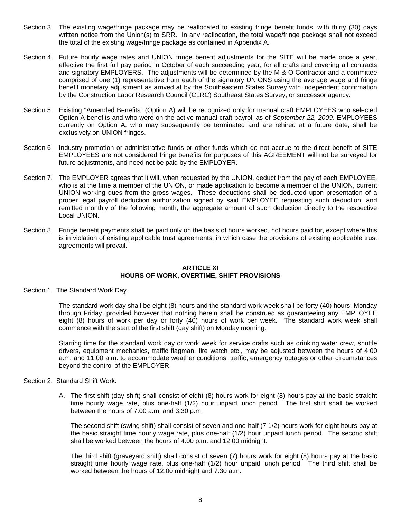- Section 3. The existing wage/fringe package may be reallocated to existing fringe benefit funds, with thirty (30) days written notice from the Union(s) to SRR. In any reallocation, the total wage/fringe package shall not exceed the total of the existing wage/fringe package as contained in Appendix A.
- Section 4. Future hourly wage rates and UNION fringe benefit adjustments for the SITE will be made once a year, effective the first full pay period in October of each succeeding year, for all crafts and covering all contracts and signatory EMPLOYERS. The adjustments will be determined by the M & O Contractor and a committee comprised of one (1) representative from each of the signatory UNIONS using the average wage and fringe benefit monetary adjustment as arrived at by the Southeastern States Survey with independent confirmation by the Construction Labor Research Council (CLRC) Southeast States Survey, or successor agency.
- Section 5. Existing "Amended Benefits" (Option A) will be recognized only for manual craft EMPLOYEES who selected Option A benefits and who were on the active manual craft payroll as of *September 22, 2009*. EMPLOYEES currently on Option A, who may subsequently be terminated and are rehired at a future date, shall be exclusively on UNION fringes.
- Section 6. Industry promotion or administrative funds or other funds which do not accrue to the direct benefit of SITE EMPLOYEES are not considered fringe benefits for purposes of this AGREEMENT will not be surveyed for future adjustments, and need not be paid by the EMPLOYER.
- Section 7. The EMPLOYER agrees that it will, when requested by the UNION, deduct from the pay of each EMPLOYEE, who is at the time a member of the UNION, or made application to become a member of the UNION, current UNION working dues from the gross wages. These deductions shall be deducted upon presentation of a proper legal payroll deduction authorization signed by said EMPLOYEE requesting such deduction, and remitted monthly of the following month, the aggregate amount of such deduction directly to the respective Local UNION.
- Section 8. Fringe benefit payments shall be paid only on the basis of hours worked, not hours paid for, except where this is in violation of existing applicable trust agreements, in which case the provisions of existing applicable trust agreements will prevail.

# **ARTICLE XI HOURS OF WORK, OVERTIME, SHIFT PROVISIONS**

Section 1. The Standard Work Day.

The standard work day shall be eight (8) hours and the standard work week shall be forty (40) hours, Monday through Friday, provided however that nothing herein shall be construed as guaranteeing any EMPLOYEE eight (8) hours of work per day or forty (40) hours of work per week. The standard work week shall commence with the start of the first shift (day shift) on Monday morning.

Starting time for the standard work day or work week for service crafts such as drinking water crew, shuttle drivers, equipment mechanics, traffic flagman, fire watch etc., may be adjusted between the hours of 4:00 a.m. and 11:00 a.m. to accommodate weather conditions, traffic, emergency outages or other circumstances beyond the control of the EMPLOYER.

- Section 2. Standard Shift Work.
	- A. The first shift (day shift) shall consist of eight (8) hours work for eight (8) hours pay at the basic straight time hourly wage rate, plus one-half (1/2) hour unpaid lunch period. The first shift shall be worked between the hours of 7:00 a.m. and 3:30 p.m.

The second shift (swing shift) shall consist of seven and one-half (7 1/2) hours work for eight hours pay at the basic straight time hourly wage rate, plus one-half (1/2) hour unpaid lunch period. The second shift shall be worked between the hours of 4:00 p.m. and 12:00 midnight.

The third shift (graveyard shift) shall consist of seven (7) hours work for eight (8) hours pay at the basic straight time hourly wage rate, plus one-half (1/2) hour unpaid lunch period. The third shift shall be worked between the hours of 12:00 midnight and 7:30 a.m.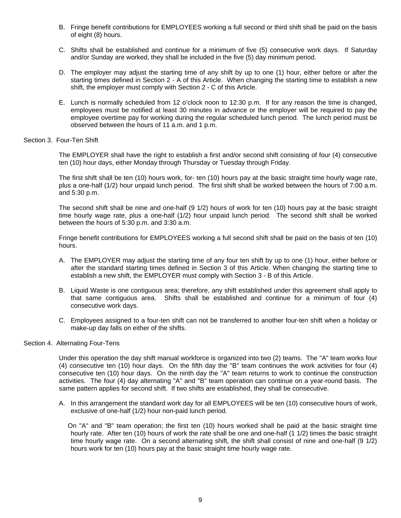- B. Fringe benefit contributions for EMPLOYEES working a full second or third shift shall be paid on the basis of eight (8) hours.
- C. Shifts shall be established and continue for a minimum of five (5) consecutive work days. If Saturday and/or Sunday are worked, they shall be included in the five (5) day minimum period.
- D. The employer may adjust the starting time of any shift by up to one (1) hour, either before or after the starting times defined in Section 2 - A of this Article. When changing the starting time to establish a new shift, the employer must comply with Section 2 - C of this Article.
- E. Lunch is normally scheduled from 12 o'clock noon to 12:30 p.m. If for any reason the time is changed, employees must be notified at least 30 minutes in advance or the employer will be required to pay the employee overtime pay for working during the regular scheduled lunch period. The lunch period must be observed between the hours of 11 a.m. and 1 p.m.

# Section 3. Four-Ten Shift

The EMPLOYER shall have the right to establish a first and/or second shift consisting of four (4) consecutive ten (10) hour days, either Monday through Thursday or Tuesday through Friday.

The first shift shall be ten (10) hours work, for- ten (10) hours pay at the basic straight time hourly wage rate, plus a one-half (1/2) hour unpaid lunch period. The first shift shall be worked between the hours of 7:00 a.m. and 5:30 p.m.

The second shift shall be nine and one-half (9 1/2) hours of work for ten (10) hours pay at the basic straight time hourly wage rate, plus a one-half (1/2) hour unpaid lunch period. The second shift shall be worked between the hours of 5:30 p.m. and 3:30 a.m.

Fringe benefit contributions for EMPLOYEES working a full second shift shall be paid on the basis of ten (10) hours.

- A. The EMPLOYER may adjust the starting time of any four ten shift by up to one (1) hour, either before or after the standard starting times defined in Section 3 of this Article. When changing the starting time to establish a new shift, the EMPLOYER must comply with Section 3 - B of this Article.
- B. Liquid Waste is one contiguous area; therefore, any shift established under this agreement shall apply to that same contiguous area. Shifts shall be established and continue for a minimum of four (4) consecutive work days.
- C. Employees assigned to a four-ten shift can not be transferred to another four-ten shift when a holiday or make-up day falls on either of the shifts.

# Section 4. Alternating Four-Tens

Under this operation the day shift manual workforce is organized into two (2) teams. The "A" team works four (4) consecutive ten (10) hour days. On the fifth day the "B" team continues the work activities for four (4) consecutive ten (10) hour days. On the ninth day the "A" team returns to work to continue the construction activities. The four (4) day alternating "A" and "B" team operation can continue on a year-round basis. The same pattern applies for second shift. If two shifts are established, they shall be consecutive.

A. In this arrangement the standard work day for all EMPLOYEES will be ten (10) consecutive hours of work, exclusive of one-half (1/2) hour non-paid lunch period.

On "A" and "B" team operation; the first ten (10) hours worked shall be paid at the basic straight time hourly rate. After ten (10) hours of work the rate shall be one and one-half (1 1/2) times the basic straight time hourly wage rate. On a second alternating shift, the shift shall consist of nine and one-half (9 1/2) hours work for ten (10) hours pay at the basic straight time hourly wage rate.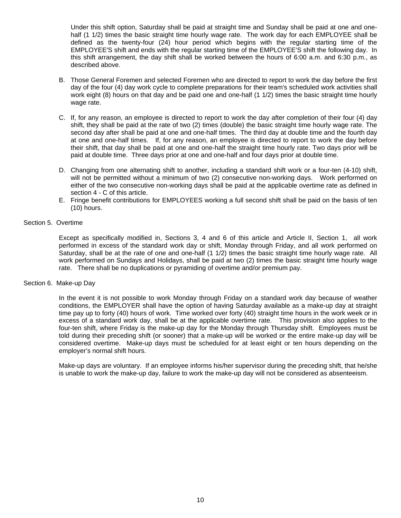Under this shift option, Saturday shall be paid at straight time and Sunday shall be paid at one and onehalf (1 1/2) times the basic straight time hourly wage rate. The work day for each EMPLOYEE shall be defined as the twenty-four (24) hour period which begins with the regular starting time of the EMPLOYEE'S shift and ends with the regular starting time of the EMPLOYEE'S shift the following day. In this shift arrangement, the day shift shall be worked between the hours of 6:00 a.m. and 6:30 p.m., as described above.

- B. Those General Foremen and selected Foremen who are directed to report to work the day before the first day of the four (4) day work cycle to complete preparations for their team's scheduled work activities shall work eight (8) hours on that day and be paid one and one-half (1 1/2) times the basic straight time hourly wage rate.
- C. If, for any reason, an employee is directed to report to work the day after completion of their four (4) day shift, they shall be paid at the rate of two (2) times (double) the basic straight time hourly wage rate. The second day after shall be paid at one and one-half times. The third day at double time and the fourth day at one and one-half times. If, for any reason, an employee is directed to report to work the day before their shift, that day shall be paid at one and one-half the straight time hourly rate. Two days prior will be paid at double time. Three days prior at one and one-half and four days prior at double time.
- D. Changing from one alternating shift to another, including a standard shift work or a four-ten (4-10) shift, will not be permitted without a minimum of two (2) consecutive non-working days. Work performed on either of the two consecutive non-working days shall be paid at the applicable overtime rate as defined in section 4 - C of this article.
- E. Fringe benefit contributions for EMPLOYEES working a full second shift shall be paid on the basis of ten (10) hours.

# Section 5. Overtime

Except as specifically modified in, Sections 3, 4 and 6 of this article and Article II, Section 1, all work performed in excess of the standard work day or shift, Monday through Friday, and all work performed on Saturday, shall be at the rate of one and one-half (1 1/2) times the basic straight time hourly wage rate. All work performed on Sundays and Holidays, shall be paid at two (2) times the basic straight time hourly wage rate. There shall be no duplications or pyramiding of overtime and/or premium pay.

# Section 6. Make-up Day

In the event it is not possible to work Monday through Friday on a standard work day because of weather conditions, the EMPLOYER shall have the option of having Saturday available as a make-up day at straight time pay up to forty (40) hours of work. Time worked over forty (40) straight time hours in the work week or in excess of a standard work day, shall be at the applicable overtime rate. This provision also applies to the four-ten shift, where Friday is the make-up day for the Monday through Thursday shift. Employees must be told during their preceding shift (or sooner) that a make-up will be worked or the entire make-up day will be considered overtime. Make-up days must be scheduled for at least eight or ten hours depending on the employer's normal shift hours.

Make-up days are voluntary. If an employee informs his/her supervisor during the preceding shift, that he/she is unable to work the make-up day, failure to work the make-up day will not be considered as absenteeism.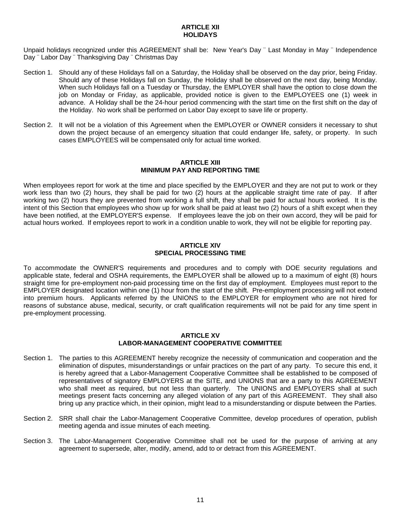# **ARTICLE XII HOLIDAYS**

Unpaid holidays recognized under this AGREEMENT shall be: New Year's Day ¨ Last Monday in May ¨ Independence Day ¨ Labor Day ¨ Thanksgiving Day ¨ Christmas Day

- Section 1. Should any of these Holidays fall on a Saturday, the Holiday shall be observed on the day prior, being Friday. Should any of these Holidays fall on Sunday, the Holiday shall be observed on the next day, being Monday. When such Holidays fall on a Tuesday or Thursday, the EMPLOYER shall have the option to close down the iob on Monday or Friday, as applicable, provided notice is given to the EMPLOYEES one (1) week in advance. A Holiday shall be the 24-hour period commencing with the start time on the first shift on the day of the Holiday. No work shall be performed on Labor Day except to save life or property.
- Section 2. It will not be a violation of this Agreement when the EMPLOYER or OWNER considers it necessary to shut down the project because of an emergency situation that could endanger life, safety, or property. In such cases EMPLOYEES will be compensated only for actual time worked.

# **ARTICLE XIII MINIMUM PAY AND REPORTING TIME**

When employees report for work at the time and place specified by the EMPLOYER and they are not put to work or they work less than two (2) hours, they shall be paid for two (2) hours at the applicable straight time rate of pay. If after working two (2) hours they are prevented from working a full shift, they shall be paid for actual hours worked. It is the intent of this Section that employees who show up for work shall be paid at least two (2) hours of a shift except when they have been notified, at the EMPLOYER'S expense. If employees leave the job on their own accord, they will be paid for actual hours worked. If employees report to work in a condition unable to work, they will not be eligible for reporting pay.

# **ARTICLE XIV SPECIAL PROCESSING TIME**

To accommodate the OWNER'S requirements and procedures and to comply with DOE security regulations and applicable state, federal and OSHA requirements, the EMPLOYER shall be allowed up to a maximum of eight (8) hours straight time for pre-employment non-paid processing time on the first day of employment. Employees must report to the EMPLOYER designated location within one (1) hour from the start of the shift. Pre-employment processing will not extend into premium hours. Applicants referred by the UNIONS to the EMPLOYER for employment who are not hired for reasons of substance abuse, medical, security, or craft qualification requirements will not be paid for any time spent in pre-employment processing.

# **ARTICLE XV LABOR-MANAGEMENT COOPERATIVE COMMITTEE**

- Section 1. The parties to this AGREEMENT hereby recognize the necessity of communication and cooperation and the elimination of disputes, misunderstandings or unfair practices on the part of any party. To secure this end, it is hereby agreed that a Labor-Management Cooperative Committee shall be established to be composed of representatives of signatory EMPLOYERS at the SITE, and UNIONS that are a party to this AGREEMENT who shall meet as required, but not less than quarterly. The UNIONS and EMPLOYERS shall at such meetings present facts concerning any alleged violation of any part of this AGREEMENT. They shall also bring up any practice which, in their opinion, might lead to a misunderstanding or dispute between the Parties.
- Section 2. SRR shall chair the Labor-Management Cooperative Committee, develop procedures of operation, publish meeting agenda and issue minutes of each meeting.
- Section 3. The Labor-Management Cooperative Committee shall not be used for the purpose of arriving at any agreement to supersede, alter, modify, amend, add to or detract from this AGREEMENT.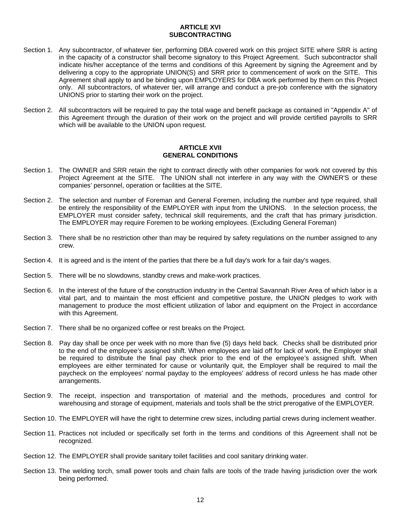# **ARTICLE XVI SUBCONTRACTING**

- Section 1. Any subcontractor, of whatever tier, performing DBA covered work on this project SITE where SRR is acting in the capacity of a constructor shall become signatory to this Project Agreement. Such subcontractor shall indicate his/her acceptance of the terms and conditions of this Agreement by signing the Agreement and by delivering a copy to the appropriate UNION(S) and SRR prior to commencement of work on the SITE. This Agreement shall apply to and be binding upon EMPLOYERS for DBA work performed by them on this Project only. All subcontractors, of whatever tier, will arrange and conduct a pre-job conference with the signatory UNIONS prior to starting their work on the project.
- Section 2. All subcontractors will be required to pay the total wage and benefit package as contained in "Appendix A" of this Agreement through the duration of their work on the project and will provide certified payrolls to SRR which will be available to the UNION upon request.

# **ARTICLE XVII GENERAL CONDITIONS**

- Section 1. The OWNER and SRR retain the right to contract directly with other companies for work not covered by this Project Agreement at the SITE. The UNION shall not interfere in any way with the OWNER'S or these companies' personnel, operation or facilities at the SITE.
- Section 2. The selection and number of Foreman and General Foremen, including the number and type required, shall be entirely the responsibility of the EMPLOYER with input from the UNIONS. In the selection process, the EMPLOYER must consider safety, technical skill requirements, and the craft that has primary jurisdiction. The EMPLOYER may require Foremen to be working employees. (Excluding General Foreman)
- Section 3. There shall be no restriction other than may be required by safety regulations on the number assigned to any crew.
- Section 4. It is agreed and is the intent of the parties that there be a full day's work for a fair day's wages.
- Section 5. There will be no slowdowns, standby crews and make-work practices.
- Section 6. In the interest of the future of the construction industry in the Central Savannah River Area of which labor is a vital part, and to maintain the most efficient and competitive posture, the UNION pledges to work with management to produce the most efficient utilization of labor and equipment on the Project in accordance with this Agreement.
- Section 7. There shall be no organized coffee or rest breaks on the Project.
- Section 8. Pay day shall be once per week with no more than five (5) days held back. Checks shall be distributed prior to the end of the employee's assigned shift. When employees are laid off for lack of work, the Employer shall be required to distribute the final pay check prior to the end of the employee's assigned shift. When employees are either terminated for cause or voluntarily quit, the Employer shall be required to mail the paycheck on the employees' normal payday to the employees' address of record unless he has made other arrangements.
- Section 9. The receipt, inspection and transportation of material and the methods, procedures and control for warehousing and storage of equipment, materials and tools shall be the strict prerogative of the EMPLOYER.
- Section 10. The EMPLOYER will have the right to determine crew sizes, including partial crews during inclement weather.
- Section 11. Practices not included or specifically set forth in the terms and conditions of this Agreement shall not be recognized.
- Section 12. The EMPLOYER shall provide sanitary toilet facilities and cool sanitary drinking water.
- Section 13. The welding torch, small power tools and chain falls are tools of the trade having jurisdiction over the work being performed.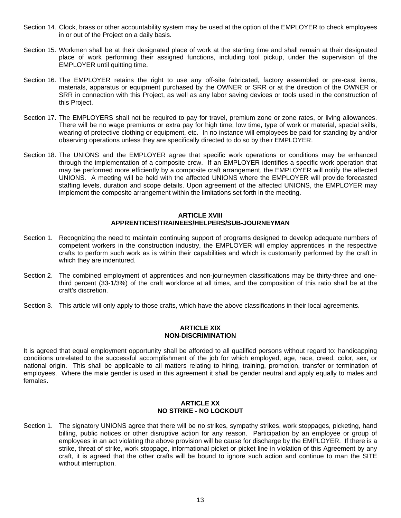- Section 14. Clock, brass or other accountability system may be used at the option of the EMPLOYER to check employees in or out of the Project on a daily basis.
- Section 15. Workmen shall be at their designated place of work at the starting time and shall remain at their designated place of work performing their assigned functions, including tool pickup, under the supervision of the EMPLOYER until quitting time.
- Section 16. The EMPLOYER retains the right to use any off-site fabricated, factory assembled or pre-cast items, materials, apparatus or equipment purchased by the OWNER or SRR or at the direction of the OWNER or SRR in connection with this Project, as well as any labor saving devices or tools used in the construction of this Project.
- Section 17. The EMPLOYERS shall not be required to pay for travel, premium zone or zone rates, or living allowances. There will be no wage premiums or extra pay for high time, low time, type of work or material, special skills, wearing of protective clothing or equipment, etc. In no instance will employees be paid for standing by and/or observing operations unless they are specifically directed to do so by their EMPLOYER.
- Section 18. The UNIONS and the EMPLOYER agree that specific work operations or conditions may be enhanced through the implementation of a composite crew. If an EMPLOYER identifies a specific work operation that may be performed more efficiently by a composite craft arrangement, the EMPLOYER will notify the affected UNIONS. A meeting will be held with the affected UNIONS where the EMPLOYER will provide forecasted staffing levels, duration and scope details. Upon agreement of the affected UNIONS, the EMPLOYER may implement the composite arrangement within the limitations set forth in the meeting.

# **ARTICLE XVIII APPRENTICES/TRAINEES/HELPERS/SUB-JOURNEYMAN**

- Section 1. Recognizing the need to maintain continuing support of programs designed to develop adequate numbers of competent workers in the construction industry, the EMPLOYER will employ apprentices in the respective crafts to perform such work as is within their capabilities and which is customarily performed by the craft in which they are indentured.
- Section 2. The combined employment of apprentices and non-journeymen classifications may be thirty-three and onethird percent (33-1/3%) of the craft workforce at all times, and the composition of this ratio shall be at the craft's discretion.
- Section 3. This article will only apply to those crafts, which have the above classifications in their local agreements.

# **ARTICLE XIX NON-DISCRIMINATION**

It is agreed that equal employment opportunity shall be afforded to all qualified persons without regard to: handicapping conditions unrelated to the successful accomplishment of the job for which employed, age, race, creed, color, sex, or national origin. This shall be applicable to all matters relating to hiring, training, promotion, transfer or termination of employees. Where the male gender is used in this agreement it shall be gender neutral and apply equally to males and females.

# **ARTICLE XX NO STRIKE - NO LOCKOUT**

Section 1. The signatory UNIONS agree that there will be no strikes, sympathy strikes, work stoppages, picketing, hand billing, public notices or other disruptive action for any reason. Participation by an employee or group of employees in an act violating the above provision will be cause for discharge by the EMPLOYER. If there is a strike, threat of strike, work stoppage, informational picket or picket line in violation of this Agreement by any craft, it is agreed that the other crafts will be bound to ignore such action and continue to man the SITE without interruption.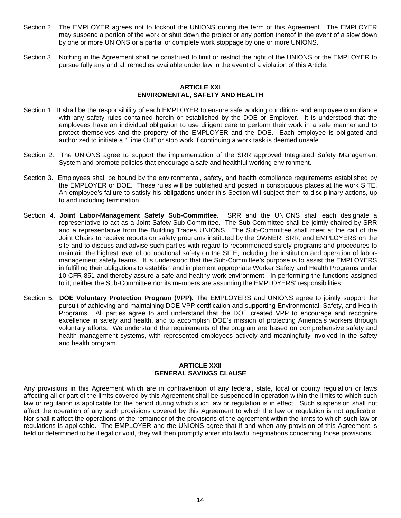- Section 2. The EMPLOYER agrees not to lockout the UNIONS during the term of this Agreement. The EMPLOYER may suspend a portion of the work or shut down the project or any portion thereof in the event of a slow down by one or more UNIONS or a partial or complete work stoppage by one or more UNIONS.
- Section 3. Nothing in the Agreement shall be construed to limit or restrict the right of the UNIONS or the EMPLOYER to pursue fully any and all remedies available under law in the event of a violation of this Article.

# **ARTICLE XXI ENVIROMENTAL, SAFETY AND HEALTH**

- Section 1. It shall be the responsibility of each EMPLOYER to ensure safe working conditions and employee compliance with any safety rules contained herein or established by the DOE or Employer. It is understood that the employees have an individual obligation to use diligent care to perform their work in a safe manner and to protect themselves and the property of the EMPLOYER and the DOE. Each employee is obligated and authorized to initiate a "Time Out" or stop work if continuing a work task is deemed unsafe.
- Section 2. The UNIONS agree to support the implementation of the SRR approved Integrated Safety Management System and promote policies that encourage a safe and healthful working environment.
- Section 3. Employees shall be bound by the environmental, safety, and health compliance requirements established by the EMPLOYER or DOE. These rules will be published and posted in conspicuous places at the work SITE. An employee's failure to satisfy his obligations under this Section will subject them to disciplinary actions, up to and including termination.
- Section 4. **Joint Labor-Management Safety Sub-Committee.** SRR and the UNIONS shall each designate a representative to act as a Joint Safety Sub-Committee. The Sub-Committee shall be jointly chaired by SRR and a representative from the Building Trades UNIONS. The Sub-Committee shall meet at the call of the Joint Chairs to receive reports on safety programs instituted by the OWNER, SRR, and EMPLOYERS on the site and to discuss and advise such parties with regard to recommended safety programs and procedures to maintain the highest level of occupational safety on the SITE, including the institution and operation of labormanagement safety teams. It is understood that the Sub-Committee's purpose is to assist the EMPLOYERS in fulfilling their obligations to establish and implement appropriate Worker Safety and Health Programs under 10 CFR 851 and thereby assure a safe and healthy work environment. In performing the functions assigned to it, neither the Sub-Committee nor its members are assuming the EMPLOYERS' responsibilities.
- Section 5. **DOE Voluntary Protection Program (VPP).** The EMPLOYERS and UNIONS agree to jointly support the pursuit of achieving and maintaining DOE VPP certification and supporting Environmental, Safety, and Health Programs. All parties agree to and understand that the DOE created VPP to encourage and recognize excellence in safety and health, and to accomplish DOE's mission of protecting America's workers through voluntary efforts. We understand the requirements of the program are based on comprehensive safety and health management systems, with represented employees actively and meaningfully involved in the safety and health program.

# **ARTICLE XXII GENERAL SAVINGS CLAUSE**

Any provisions in this Agreement which are in contravention of any federal, state, local or county regulation or laws affecting all or part of the limits covered by this Agreement shall be suspended in operation within the limits to which such law or regulation is applicable for the period during which such law or regulation is in effect. Such suspension shall not affect the operation of any such provisions covered by this Agreement to which the law or regulation is not applicable. Nor shall it affect the operations of the remainder of the provisions of the agreement within the limits to which such law or regulations is applicable. The EMPLOYER and the UNIONS agree that if and when any provision of this Agreement is held or determined to be illegal or void, they will then promptly enter into lawful negotiations concerning those provisions.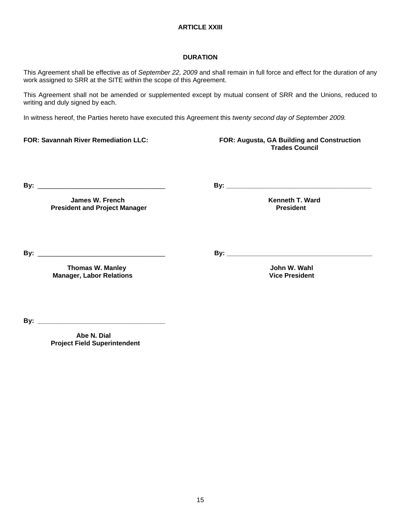# **ARTICLE XXIII**

# **DURATION**

This Agreement shall be effective as of *September 22, 2009* and shall remain in full force and effect for the duration of any work assigned to SRR at the SITE within the scope of this Agreement.

This Agreement shall not be amended or supplemented except by mutual consent of SRR and the Unions, reduced to writing and duly signed by each.

In witness hereof, the Parties hereto have executed this Agreement this *twenty second day of September 2009.*

# **FOR: Savannah River Remediation LLC: FOR: Augusta, GA Building and Construction Trades Council**

**By:** \_\_\_\_\_\_\_\_\_\_\_\_\_\_\_\_\_\_\_\_\_\_\_\_\_\_\_\_\_\_\_\_\_\_\_ **By: \_\_\_\_\_\_\_\_\_\_\_\_\_\_\_\_\_\_\_\_\_\_\_\_\_\_\_\_\_\_\_\_\_\_\_\_\_\_\_\_** 

**James W. French Community Community Community Community Community Community Community Community Community Community President and Project Manager Access 2008 12 Apr 2014 12:34 President** 

**By:** \_\_\_\_\_\_\_\_\_\_\_\_\_\_\_\_\_\_\_\_\_\_\_\_\_\_\_\_\_\_\_\_\_\_\_ **By: \_\_\_\_\_\_\_\_\_\_\_\_\_\_\_\_\_\_\_\_\_\_\_\_\_\_\_\_\_\_\_\_\_\_\_\_\_\_\_\_**

**Thomas W. Manley Source 2008 (2008)**<br>  **Thomas W. Manley Source 2008**<br> *A* Dice President Vice President

**By: \_\_\_\_\_\_\_\_\_\_\_\_\_\_\_\_\_\_\_\_\_\_\_\_\_\_\_\_\_\_\_\_\_\_\_**

 **Abe N. Dial Project Field Superintendent** 

**Manager, Labor Relations**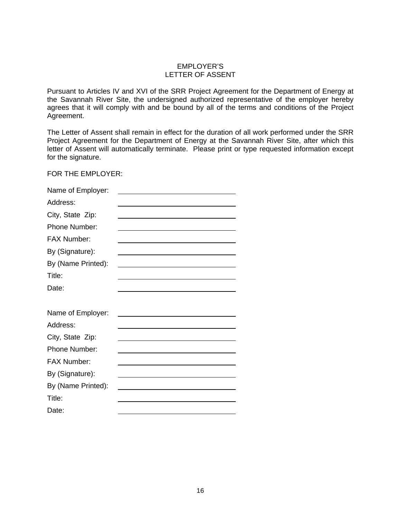# EMPLOYER'S LETTER OF ASSENT

Pursuant to Articles IV and XVI of the SRR Project Agreement for the Department of Energy at the Savannah River Site, the undersigned authorized representative of the employer hereby agrees that it will comply with and be bound by all of the terms and conditions of the Project Agreement.

The Letter of Assent shall remain in effect for the duration of all work performed under the SRR Project Agreement for the Department of Energy at the Savannah River Site, after which this letter of Assent will automatically terminate. Please print or type requested information except for the signature.

FOR THE EMPLOYER:

| Name of Employer:  |                                                                                           |
|--------------------|-------------------------------------------------------------------------------------------|
| Address:           |                                                                                           |
| City, State Zip:   |                                                                                           |
| Phone Number:      |                                                                                           |
| <b>FAX Number:</b> |                                                                                           |
| By (Signature):    |                                                                                           |
| By (Name Printed): |                                                                                           |
| Title:             |                                                                                           |
| Date:              |                                                                                           |
|                    |                                                                                           |
| Name of Employer:  |                                                                                           |
| Address:           | the control of the control of the control of the control of the control of the control of |
| City, State Zip:   | the control of the control of the control of the control of the control of the control of |
| Phone Number:      | the control of the control of the control of the control of the control of                |
| FAX Number:        |                                                                                           |
| By (Signature):    |                                                                                           |
| By (Name Printed): |                                                                                           |
| Title:             |                                                                                           |
| Date:              |                                                                                           |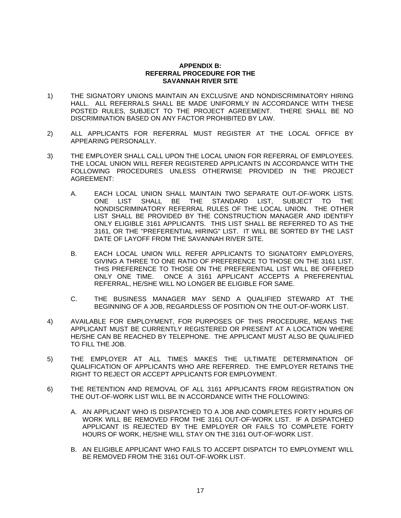# **APPENDIX B: REFERRAL PROCEDURE FOR THE SAVANNAH RIVER SITE**

- 1) THE SIGNATORY UNIONS MAINTAIN AN EXCLUSIVE AND NONDISCRIMINATORY HIRING HALL. ALL REFERRALS SHALL BE MADE UNIFORMLY IN ACCORDANCE WITH THESE POSTED RULES, SUBJECT TO THE PROJECT AGREEMENT. THERE SHALL BE NO DISCRIMINATION BASED ON ANY FACTOR PROHIBITED BY LAW.
- 2) ALL APPLICANTS FOR REFERRAL MUST REGISTER AT THE LOCAL OFFICE BY APPEARING PERSONALLY.
- 3) THE EMPLOYER SHALL CALL UPON THE LOCAL UNION FOR REFERRAL OF EMPLOYEES. THE LOCAL UNION WILL REFER REGISTERED APPLICANTS IN ACCORDANCE WITH THE FOLLOWING PROCEDURES UNLESS OTHERWISE PROVIDED IN THE PROJECT AGREEMENT:
	- A. EACH LOCAL UNION SHALL MAINTAIN TWO SEPARATE OUT-OF-WORK LISTS.<br>ONE LIST SHALL BE THE STANDARD LIST, SUBJECT TO THE ONE LIST SHALL BE THE STANDARD LIST, SUBJECT TO THE NONDISCRIMINATORY REFERRAL RULES OF THE LOCAL UNION. THE OTHER LIST SHALL BE PROVIDED BY THE CONSTRUCTION MANAGER AND IDENTIFY ONLY ELIGIBLE 3161 APPLICANTS. THIS LIST SHALL BE REFERRED TO AS THE 3161, OR THE "PREFERENTIAL HIRING" LIST. IT WILL BE SORTED BY THE LAST DATE OF LAYOFF FROM THE SAVANNAH RIVER SITE.
	- B. EACH LOCAL UNION WILL REFER APPLICANTS TO SIGNATORY EMPLOYERS, GIVING A THREE TO ONE RATIO OF PREFERENCE TO THOSE ON THE 3161 LIST. THIS PREFERENCE TO THOSE ON THE PREFERENTIAL LIST WILL BE OFFERED ONLY ONE TIME. ONCE A 3161 APPLICANT ACCEPTS A PREFERENTIAL REFERRAL, HE/SHE WILL NO LONGER BE ELIGIBLE FOR SAME.
	- C. THE BUSINESS MANAGER MAY SEND A QUALIFIED STEWARD AT THE BEGINNING OF A JOB, REGARDLESS OF POSITION ON THE OUT-OF-WORK LIST.
- 4) AVAILABLE FOR EMPLOYMENT, FOR PURPOSES OF THIS PROCEDURE, MEANS THE APPLICANT MUST BE CURRENTLY REGISTERED OR PRESENT AT A LOCATION WHERE HE/SHE CAN BE REACHED BY TELEPHONE. THE APPLICANT MUST ALSO BE QUALIFIED TO FILL THE JOB.
- 5) THE EMPLOYER AT ALL TIMES MAKES THE ULTIMATE DETERMINATION OF QUALIFICATION OF APPLICANTS WHO ARE REFERRED. THE EMPLOYER RETAINS THE RIGHT TO REJECT OR ACCEPT APPLICANTS FOR EMPLOYMENT.
- 6) THE RETENTION AND REMOVAL OF ALL 3161 APPLICANTS FROM REGISTRATION ON THE OUT-OF-WORK LIST WILL BE IN ACCORDANCE WITH THE FOLLOWING:
	- A. AN APPLICANT WHO IS DISPATCHED TO A JOB AND COMPLETES FORTY HOURS OF WORK WILL BE REMOVED FROM THE 3161 OUT-OF-WORK LIST. IF A DISPATCHED APPLICANT IS REJECTED BY THE EMPLOYER OR FAILS TO COMPLETE FORTY HOURS OF WORK, HE/SHE WILL STAY ON THE 3161 OUT-OF-WORK LIST.
	- B. AN ELIGIBLE APPLICANT WHO FAILS TO ACCEPT DISPATCH TO EMPLOYMENT WILL BE REMOVED FROM THE 3161 OUT-OF-WORK LIST.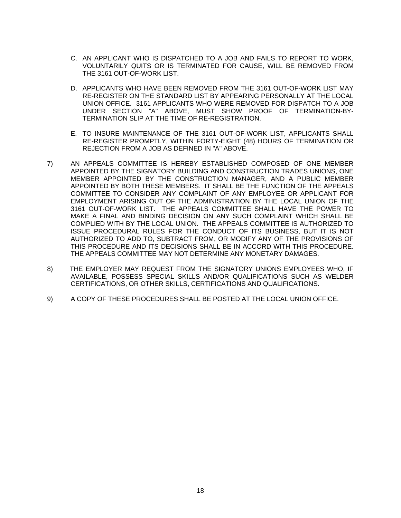- C. AN APPLICANT WHO IS DISPATCHED TO A JOB AND FAILS TO REPORT TO WORK, VOLUNTARILY QUITS OR IS TERMINATED FOR CAUSE, WILL BE REMOVED FROM THE 3161 OUT-OF-WORK LIST.
- D. APPLICANTS WHO HAVE BEEN REMOVED FROM THE 3161 OUT-OF-WORK LIST MAY RE-REGISTER ON THE STANDARD LIST BY APPEARING PERSONALLY AT THE LOCAL UNION OFFICE. 3161 APPLICANTS WHO WERE REMOVED FOR DISPATCH TO A JOB UNDER SECTION "A" ABOVE, MUST SHOW PROOF OF TERMINATION-BY-TERMINATION SLIP AT THE TIME OF RE-REGISTRATION.
- E. TO INSURE MAINTENANCE OF THE 3161 OUT-OF-WORK LIST, APPLICANTS SHALL RE-REGISTER PROMPTLY, WITHIN FORTY-EIGHT (48) HOURS OF TERMINATION OR REJECTION FROM A JOB AS DEFINED IN "A" ABOVE.
- 7) AN APPEALS COMMITTEE IS HEREBY ESTABLISHED COMPOSED OF ONE MEMBER APPOINTED BY THE SIGNATORY BUILDING AND CONSTRUCTION TRADES UNIONS, ONE MEMBER APPOINTED BY THE CONSTRUCTION MANAGER, AND A PUBLIC MEMBER APPOINTED BY BOTH THESE MEMBERS. IT SHALL BE THE FUNCTION OF THE APPEALS COMMITTEE TO CONSIDER ANY COMPLAINT OF ANY EMPLOYEE OR APPLICANT FOR EMPLOYMENT ARISING OUT OF THE ADMINISTRATION BY THE LOCAL UNION OF THE 3161 OUT-OF-WORK LIST. THE APPEALS COMMITTEE SHALL HAVE THE POWER TO MAKE A FINAL AND BINDING DECISION ON ANY SUCH COMPLAINT WHICH SHALL BE COMPLIED WITH BY THE LOCAL UNION. THE APPEALS COMMITTEE IS AUTHORIZED TO ISSUE PROCEDURAL RULES FOR THE CONDUCT OF ITS BUSINESS, BUT IT IS NOT AUTHORIZED TO ADD TO, SUBTRACT FROM, OR MODIFY ANY OF THE PROVISIONS OF THIS PROCEDURE AND ITS DECISIONS SHALL BE IN ACCORD WITH THIS PROCEDURE. THE APPEALS COMMITTEE MAY NOT DETERMINE ANY MONETARY DAMAGES.
- 8) THE EMPLOYER MAY REQUEST FROM THE SIGNATORY UNIONS EMPLOYEES WHO, IF AVAILABLE, POSSESS SPECIAL SKILLS AND/OR QUALIFICATIONS SUCH AS WELDER CERTIFICATIONS, OR OTHER SKILLS, CERTIFICATIONS AND QUALIFICATIONS.
- 9) A COPY OF THESE PROCEDURES SHALL BE POSTED AT THE LOCAL UNION OFFICE.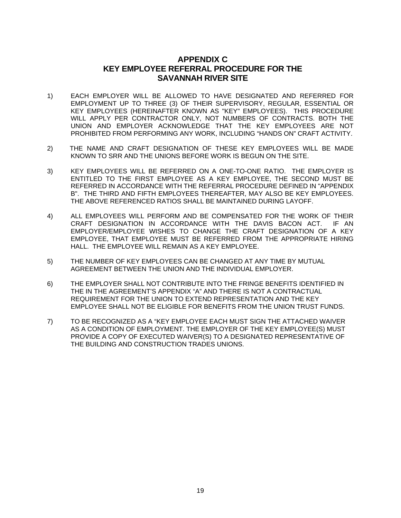# **APPENDIX C KEY EMPLOYEE REFERRAL PROCEDURE FOR THE SAVANNAH RIVER SITE**

- 1) EACH EMPLOYER WILL BE ALLOWED TO HAVE DESIGNATED AND REFERRED FOR EMPLOYMENT UP TO THREE (3) OF THEIR SUPERVISORY, REGULAR, ESSENTIAL OR KEY EMPLOYEES (HEREINAFTER KNOWN AS "KEY" EMPLOYEES). THIS PROCEDURE WILL APPLY PER CONTRACTOR ONLY, NOT NUMBERS OF CONTRACTS. BOTH THE UNION AND EMPLOYER ACKNOWLEDGE THAT THE KEY EMPLOYEES ARE NOT PROHIBITED FROM PERFORMING ANY WORK, INCLUDING "HANDS ON" CRAFT ACTIVITY.
- 2) THE NAME AND CRAFT DESIGNATION OF THESE KEY EMPLOYEES WILL BE MADE KNOWN TO SRR AND THE UNIONS BEFORE WORK IS BEGUN ON THE SITE.
- 3) KEY EMPLOYEES WILL BE REFERRED ON A ONE-TO-ONE RATIO. THE EMPLOYER IS ENTITLED TO THE FIRST EMPLOYEE AS A KEY EMPLOYEE, THE SECOND MUST BE REFERRED IN ACCORDANCE WITH THE REFERRAL PROCEDURE DEFINED IN "APPENDIX B". THE THIRD AND FIFTH EMPLOYEES THEREAFTER, MAY ALSO BE KEY EMPLOYEES. THE ABOVE REFERENCED RATIOS SHALL BE MAINTAINED DURING LAYOFF.
- 4) ALL EMPLOYEES WILL PERFORM AND BE COMPENSATED FOR THE WORK OF THEIR CRAFT DESIGNATION IN ACCORDANCE WITH THE DAVIS BACON ACT. IF AN EMPLOYER/EMPLOYEE WISHES TO CHANGE THE CRAFT DESIGNATION OF A KEY EMPLOYEE, THAT EMPLOYEE MUST BE REFERRED FROM THE APPROPRIATE HIRING HALL. THE EMPLOYEE WILL REMAIN AS A KEY EMPLOYEE.
- 5) THE NUMBER OF KEY EMPLOYEES CAN BE CHANGED AT ANY TIME BY MUTUAL AGREEMENT BETWEEN THE UNION AND THE INDIVIDUAL EMPLOYER.
- 6) THE EMPLOYER SHALL NOT CONTRIBUTE INTO THE FRINGE BENEFITS IDENTIFIED IN THE IN THE AGREEMENT'S APPENDIX "A" AND THERE IS NOT A CONTRACTUAL REQUIREMENT FOR THE UNION TO EXTEND REPRESENTATION AND THE KEY EMPLOYEE SHALL NOT BE ELIGIBLE FOR BENEFITS FROM THE UNION TRUST FUNDS.
- 7) TO BE RECOGNIZED AS A "KEY EMPLOYEE EACH MUST SIGN THE ATTACHED WAIVER AS A CONDITION OF EMPLOYMENT. THE EMPLOYER OF THE KEY EMPLOYEE(S) MUST PROVIDE A COPY OF EXECUTED WAIVER(S) TO A DESIGNATED REPRESENTATIVE OF THE BUILDING AND CONSTRUCTION TRADES UNIONS.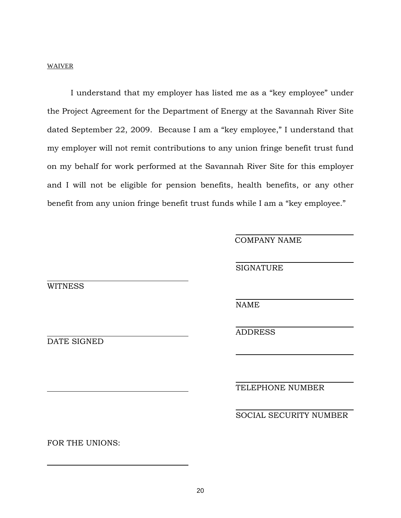# WAIVER

 I understand that my employer has listed me as a "key employee" under the Project Agreement for the Department of Energy at the Savannah River Site dated September 22, 2009. Because I am a "key employee," I understand that my employer will not remit contributions to any union fringe benefit trust fund on my behalf for work performed at the Savannah River Site for this employer and I will not be eligible for pension benefits, health benefits, or any other benefit from any union fringe benefit trust funds while I am a "key employee."

COMPANY NAME

**SIGNATURE** 

**WITNESS** 

 $\overline{a}$ 

 $\overline{a}$ 

NAME

 $\overline{a}$ 

l

 $\overline{a}$ 

l

 $\overline{a}$ 

l

ADDRESS

DATE SIGNED

TELEPHONE NUMBER

SOCIAL SECURITY NUMBER

FOR THE UNIONS: